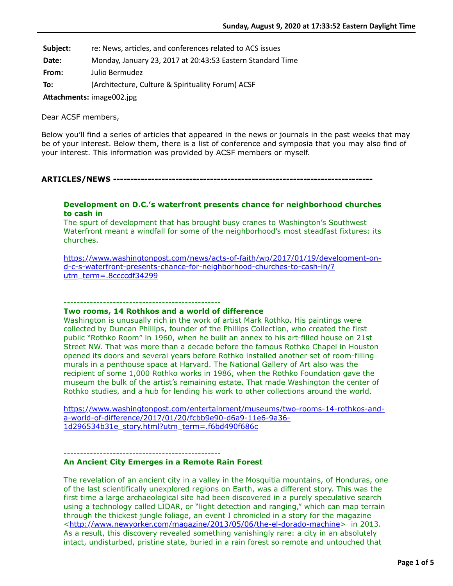**Subject:** re: News, articles, and conferences related to ACS issues

**Date:** Monday, January 23, 2017 at 20:43:53 Eastern Standard Time

**From:** Julio Bermudez

**To:** (Architecture, Culture & Spirituality Forum) ACSF

Attachments: image002.jpg

Dear ACSF members,

Below you'll find a series of articles that appeared in the news or journals in the past weeks that may be of your interest. Below them, there is a list of conference and symposia that you may also find of your interest. This information was provided by ACSF members or myself.

**ARTICLES/NEWS ---------------------------------------------------------------------------**

## **Development on D.C.'s waterfront presents chance for neighborhood churches to cash in**

The spurt of development that has brought busy cranes to Washington's Southwest Waterfront meant a windfall for some of the neighborhood's most steadfast fixtures: its churches.

[https://www.washingtonpost.com/news/acts-of-faith/wp/2017/01/19/development-on](https://www.washingtonpost.com/news/acts-of-faith/wp/2017/01/19/development-on-d-c-s-waterfront-presents-chance-for-neighborhood-churches-to-cash-in/?utm_term=.8ccccdf34299)d-c-s-waterfront-presents-chance-for-neighborhood-churches-to-cash-in/? utm\_term=.8ccccdf34299

### ------------------------------------------------

### **Two rooms, 14 Rothkos and a world of difference**

Washington is unusually rich in the work of artist Mark Rothko. His paintings were collected by Duncan Phillips, founder of the Phillips Collection, who created the first public "Rothko Room" in 1960, when he built an annex to his art-filled house on 21st Street NW. That was more than a decade before the famous Rothko Chapel in Houston opened its doors and several years before Rothko installed another set of room-filling murals in a penthouse space at Harvard. The National Gallery of Art also was the recipient of some 1,000 Rothko works in 1986, when the Rothko Foundation gave the museum the bulk of the artist's remaining estate. That made Washington the center of Rothko studies, and a hub for lending his work to other collections around the world.

[https://www.washingtonpost.com/entertainment/museums/two-rooms-14-rothkos-and](https://www.washingtonpost.com/entertainment/museums/two-rooms-14-rothkos-and-a-world-of-difference/2017/01/20/fcbb9e90-d6a9-11e6-9a36-1d296534b31e_story.html?utm_term=.f6bd490f686c)a-world-of-difference/2017/01/20/fcbb9e90-d6a9-11e6-9a36- 1d296534b31e\_story.html?utm\_term=.f6bd490f686c

#### ------------------------------------------------

### **An Ancient City Emerges in a Remote Rain Forest**

The revelation of an ancient city in a valley in the Mosquitia mountains, of Honduras, one of the last scientifically unexplored regions on Earth, was a different story. This was the first time a large archaeological site had been discovered in a purely speculative search using a technology called LIDAR, or "light detection and ranging," which can map terrain through the thickest jungle foliage, an event I chronicled in a story for the magazine <[http://www.newyorker.com/magazine/2013/05/06/the-el-dorado-machine>](http://www.newyorker.com/magazine/2013/05/06/the-el-dorado-machine) in 2013. As a result, this discovery revealed something vanishingly rare: a city in an absolutely intact, undisturbed, pristine state, buried in a rain forest so remote and untouched that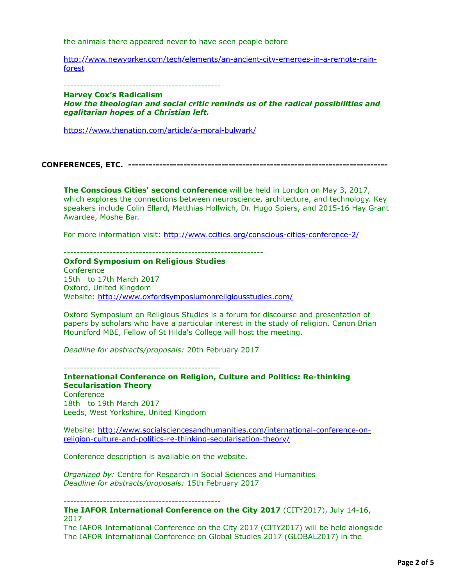the animals there appeared never to have seen people before

[http://www.newyorker.com/tech/elements/an-ancient-city-emerges-in-a-remote-rain](http://www.newyorker.com/tech/elements/an-ancient-city-emerges-in-a-remote-rain-forest)forest

------------------------------------------------

**Harvey Cox's Radicalism** *How the theologian and social critic reminds us of the radical possibilities and egalitarian hopes of a Christian left.*

<https://www.thenation.com/article/a-moral-bulwark/>

**CONFERENCES, ETC. ---------------------------------------------------------------------------**

**The Conscious Cities' second conference** will be held in London on May 3, 2017, which explores the connections between neuroscience, architecture, and technology. Key speakers include Colin Ellard, Matthias Hollwich, Dr. Hugo Spiers, and 2015-16 Hay Grant Awardee, Moshe Bar.

For more information visit:<http://www.ccities.org/conscious-cities-conference-2/>

-------------------------------------------------------------

**Oxford Symposium on Religious Studies** 

**Conference** 15th to 17th March 2017 Oxford, United Kingdom Website:<http://www.oxfordsymposiumonreligiousstudies.com/>

Oxford Symposium on Religious Studies is a forum for discourse and presentation of papers by scholars who have a particular interest in the study of religion. Canon Brian Mountford MBE, Fellow of St Hilda's College will host the meeting.

*Deadline for abstracts/proposals:* 20th February 2017

------------------------------------------------

**International Conference on Religion, Culture and Politics: Re-thinking Secularisation Theory Conference** 18th to 19th March 2017 Leeds, West Yorkshire, United Kingdom

[Website: http://www.socialsciencesandhumanities.com/international-conference-on](http://www.socialsciencesandhumanities.com/international-conference-on-religion-culture-and-politics-re-thinking-secularisation-theory/)religion-culture-and-politics-re-thinking-secularisation-theory/

Conference description is available on the website.

*Organized by:* Centre for Research in Social Sciences and Humanities *Deadline for abstracts/proposals:* 15th February 2017

------------------------------------------------

**The IAFOR International Conference on the City 2017** (CITY2017), July 14-16, 2017

The IAFOR International Conference on the City 2017 (CITY2017) will be held alongside The IAFOR International Conference on Global Studies 2017 (GLOBAL2017) in the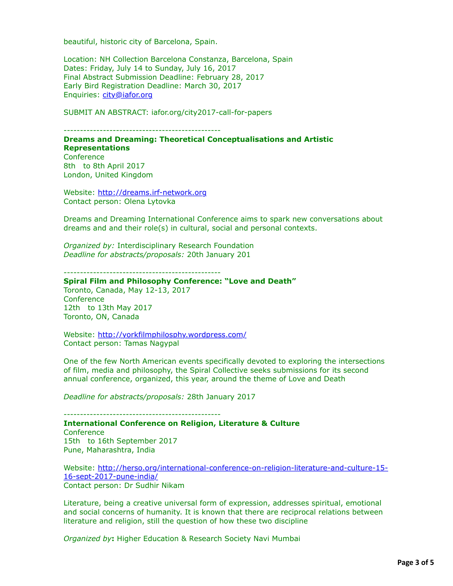beautiful, historic city of Barcelona, Spain.

Location: NH Collection Barcelona Constanza, Barcelona, Spain Dates: Friday, July 14 to Sunday, July 16, 2017 Final Abstract Submission Deadline: February 28, 2017 Early Bird Registration Deadline: March 30, 2017 Enquiries: [city@iafor.org](applewebdata://EEC9B835-4BF9-435E-919A-0BBD6EEE8E92/city@iafor.org)

SUBMIT AN ABSTRACT: iafor.org/city2017-call-for-papers

------------------------------------------------

**Dreams and Dreaming: Theoretical Conceptualisations and Artistic Representations** 

**Conference** 8th to 8th April 2017 London, United Kingdom

Website: [http://dreams.irf-network.org](http://dreams.irf-network.org/) Contact person: Olena Lytovka

Dreams and Dreaming International Conference aims to spark new conversations about dreams and and their role(s) in cultural, social and personal contexts.

*Organized by:* Interdisciplinary Research Foundation *Deadline for abstracts/proposals:* 20th January 201

------------------------------------------------

# **Spiral Film and Philosophy Conference: "Love and Death"**

Toronto, Canada, May 12-13, 2017 **Conference** 12th to 13th May 2017 Toronto, ON, Canada

Website:<http://yorkfilmphilosphy.wordpress.com/> Contact person: Tamas Nagypal

One of the few North American events specifically devoted to exploring the intersections of film, media and philosophy, the Spiral Collective seeks submissions for its second annual conference, organized, this year, around the theme of Love and Death

*Deadline for abstracts/proposals:* 28th January 2017

------------------------------------------------

**International Conference on Religion, Literature & Culture Conference** 15th to 16th September 2017 Pune, Maharashtra, India

[Website: http://herso.org/international-conference-on-religion-literature-and-culture-15-](http://herso.org/international-conference-on-religion-literature-and-culture-15-16-sept-2017-pune-india/) 16-sept-2017-pune-india/ Contact person: Dr Sudhir Nikam

Literature, being a creative universal form of expression, addresses spiritual, emotional and social concerns of humanity. It is known that there are reciprocal relations between literature and religion, still the question of how these two discipline

*Organized by***:** Higher Education & Research Society Navi Mumbai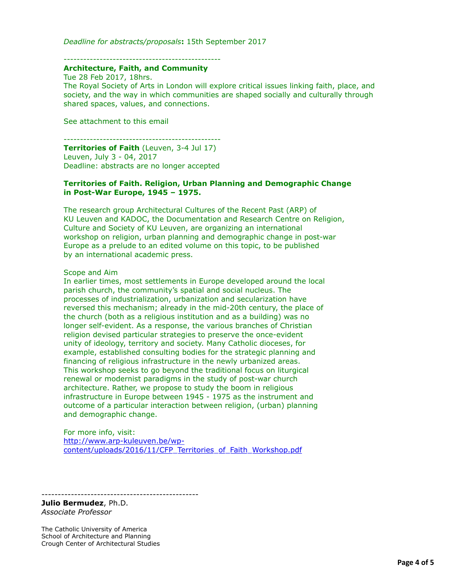*Deadline for abstracts/proposals***:** 15th September 2017

------------------------------------------------

#### **Architecture, Faith, and Community**

Tue 28 Feb 2017, 18hrs. The Royal Society of Arts in London will explore critical issues linking faith, place, and society, and the way in which communities are shaped socially and culturally through shared spaces, values, and connections.

See attachment to this email

------------------------------------------------

**Territories of Faith** (Leuven, 3-4 Jul 17) Leuven, July 3 - 04, 2017 Deadline: abstracts are no longer accepted

# **Territories of Faith. Religion, Urban Planning and Demographic Change in Post-War Europe, 1945 – 1975.**

The research group Architectural Cultures of the Recent Past (ARP) of KU Leuven and KADOC, the Documentation and Research Centre on Religion, Culture and Society of KU Leuven, are organizing an international workshop on religion, urban planning and demographic change in post-war Europe as a prelude to an edited volume on this topic, to be published by an international academic press.

Scope and Aim

In earlier times, most settlements in Europe developed around the local parish church, the community's spatial and social nucleus. The processes of industrialization, urbanization and secularization have reversed this mechanism; already in the mid-20th century, the place of the church (both as a religious institution and as a building) was no longer self-evident. As a response, the various branches of Christian religion devised particular strategies to preserve the once-evident unity of ideology, territory and society. Many Catholic dioceses, for example, established consulting bodies for the strategic planning and financing of religious infrastructure in the newly urbanized areas. This workshop seeks to go beyond the traditional focus on liturgical renewal or modernist paradigms in the study of post-war church architecture. Rather, we propose to study the boom in religious infrastructure in Europe between 1945 - 1975 as the instrument and outcome of a particular interaction between religion, (urban) planning and demographic change.

For more info, visit: http://www.arp-kuleuven.be/wp[content/uploads/2016/11/CFP\\_Territories\\_of\\_Faith\\_Workshop.pdf](http://www.arp-kuleuven.be/wp-content/uploads/2016/11/CFP_Territories_of_Faith_Workshop.pdf)

------------------------------------------------

**Julio Bermudez**, Ph.D. *Associate Professor*

The Catholic University of America School of Architecture and Planning Crough Center of Architectural Studies